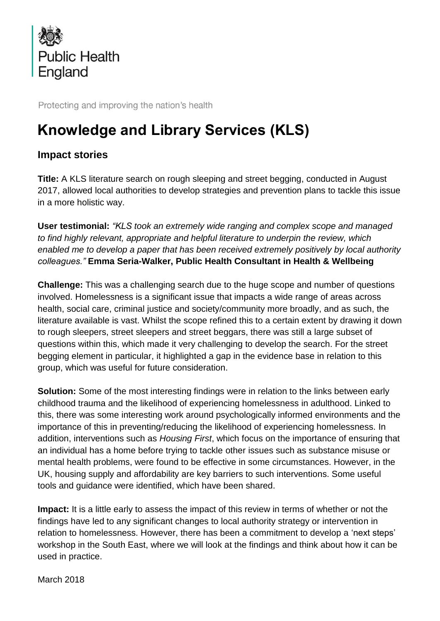

Protecting and improving the nation's health

## **Knowledge and Library Services (KLS)**

## **Impact stories**

**Title:** A KLS literature search on rough sleeping and street begging, conducted in August 2017, allowed local authorities to develop strategies and prevention plans to tackle this issue in a more holistic way.

**User testimonial:** *"KLS took an extremely wide ranging and complex scope and managed to find highly relevant, appropriate and helpful literature to underpin the review, which enabled me to develop a paper that has been received extremely positively by local authority colleagues."* **Emma Seria-Walker, Public Health Consultant in Health & Wellbeing**

**Challenge:** This was a challenging search due to the huge scope and number of questions involved. Homelessness is a significant issue that impacts a wide range of areas across health, social care, criminal justice and society/community more broadly, and as such, the literature available is vast. Whilst the scope refined this to a certain extent by drawing it down to rough sleepers, street sleepers and street beggars, there was still a large subset of questions within this, which made it very challenging to develop the search. For the street begging element in particular, it highlighted a gap in the evidence base in relation to this group, which was useful for future consideration.

**Solution:** Some of the most interesting findings were in relation to the links between early childhood trauma and the likelihood of experiencing homelessness in adulthood. Linked to this, there was some interesting work around psychologically informed environments and the importance of this in preventing/reducing the likelihood of experiencing homelessness. In addition, interventions such as *Housing First*, which focus on the importance of ensuring that an individual has a home before trying to tackle other issues such as substance misuse or mental health problems, were found to be effective in some circumstances. However, in the UK, housing supply and affordability are key barriers to such interventions. Some useful tools and guidance were identified, which have been shared.

**Impact:** It is a little early to assess the impact of this review in terms of whether or not the findings have led to any significant changes to local authority strategy or intervention in relation to homelessness. However, there has been a commitment to develop a 'next steps' workshop in the South East, where we will look at the findings and think about how it can be used in practice.

March 2018